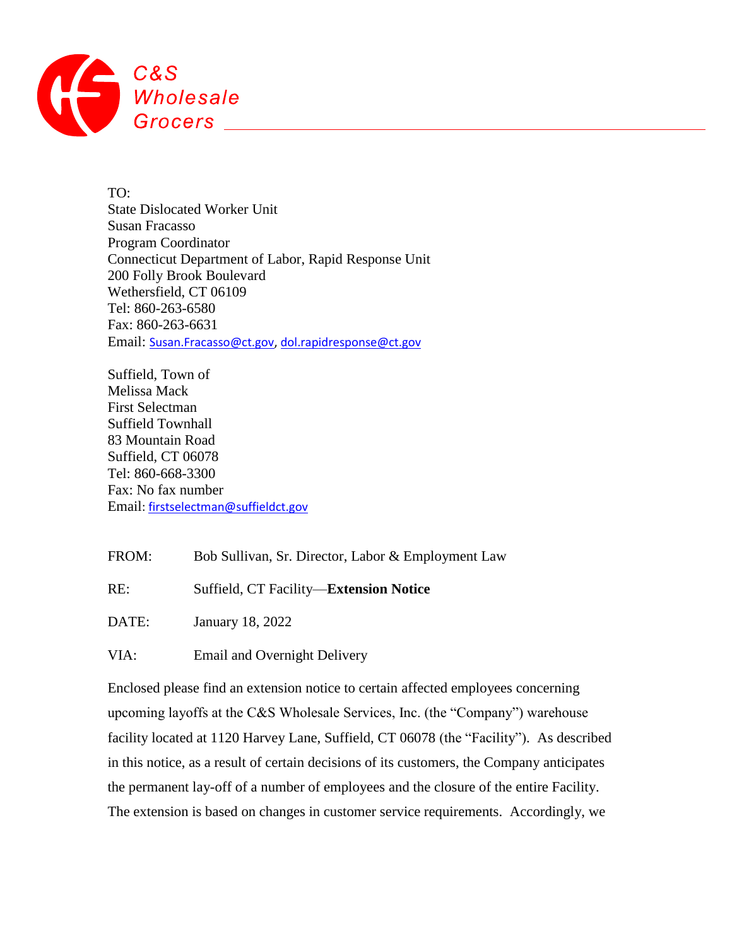

TO: State Dislocated Worker Unit Susan Fracasso Program Coordinator Connecticut Department of Labor, Rapid Response Unit 200 Folly Brook Boulevard Wethersfield, CT 06109 Tel: 860-263-6580 Fax: 860-263-6631 Email: [Susan.Fracasso@ct.gov,](mailto:Susan.Fracasso@ct.gov) [dol.rapidresponse@ct.gov](mailto:dol.rapidresponse@ct.gov)

Suffield, Town of Melissa Mack First Selectman Suffield Townhall 83 Mountain Road Suffield, CT 06078 Tel: 860-668-3300 Fax: No fax number Email: [firstselectman@suffieldct.gov](mailto:firstselectman@suffieldct.gov)

FROM: Bob Sullivan, Sr. Director, Labor & Employment Law

RE: Suffield, CT Facility—**Extension Notice**

DATE: January 18, 2022

VIA: Email and Overnight Delivery

Enclosed please find an extension notice to certain affected employees concerning upcoming layoffs at the C&S Wholesale Services, Inc. (the "Company") warehouse facility located at 1120 Harvey Lane, Suffield, CT 06078 (the "Facility"). As described in this notice, as a result of certain decisions of its customers, the Company anticipates the permanent lay-off of a number of employees and the closure of the entire Facility. The extension is based on changes in customer service requirements. Accordingly, we